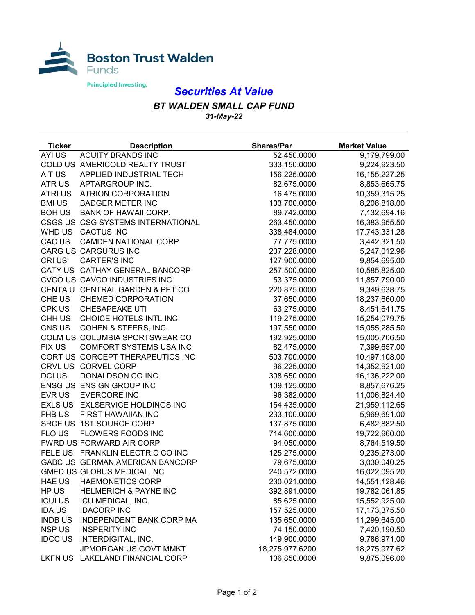

## *Securities At Value*

## *BT WALDEN SMALL CAP FUND 31-May-22*

| <b>Ticker</b>  | <b>Description</b>                | <b>Shares/Par</b> | <b>Market Value</b> |
|----------------|-----------------------------------|-------------------|---------------------|
| AYI US         | <b>ACUITY BRANDS INC</b>          | 52,450.0000       | 9,179,799.00        |
|                | COLD US AMERICOLD REALTY TRUST    | 333,150.0000      | 9,224,923.50        |
| AIT US         | APPLIED INDUSTRIAL TECH           | 156,225.0000      | 16, 155, 227. 25    |
| ATRUS          | APTARGROUP INC.                   | 82,675.0000       | 8,853,665.75        |
| <b>ATRI US</b> | <b>ATRION CORPORATION</b>         | 16,475.0000       | 10,359,315.25       |
| <b>BMI US</b>  | <b>BADGER METER INC</b>           | 103,700.0000      | 8,206,818.00        |
| <b>BOH US</b>  | <b>BANK OF HAWAII CORP.</b>       | 89,742.0000       | 7,132,694.16        |
|                | CSGS US CSG SYSTEMS INTERNATIONAL | 263,450.0000      | 16,383,955.50       |
| WHD US         | <b>CACTUS INC</b>                 | 338,484.0000      | 17,743,331.28       |
| CAC US         | <b>CAMDEN NATIONAL CORP</b>       | 77,775.0000       | 3,442,321.50        |
|                | CARG US CARGURUS INC              | 207,228.0000      | 5,247,012.96        |
| CRI US         | <b>CARTER'S INC</b>               | 127,900.0000      | 9,854,695.00        |
|                | CATY US CATHAY GENERAL BANCORP    | 257,500.0000      | 10,585,825.00       |
|                | CVCO US CAVCO INDUSTRIES INC      | 53,375.0000       | 11,857,790.00       |
|                | CENTA U CENTRAL GARDEN & PET CO   | 220,875.0000      | 9,349,638.75        |
| CHE US         | <b>CHEMED CORPORATION</b>         | 37,650.0000       | 18,237,660.00       |
| CPK US         | <b>CHESAPEAKE UTI</b>             | 63,275.0000       | 8,451,641.75        |
| CHH US         | CHOICE HOTELS INTL INC            | 119,275.0000      | 15,254,079.75       |
| CNS US         | COHEN & STEERS, INC.              | 197,550.0000      | 15,055,285.50       |
|                | COLM US COLUMBIA SPORTSWEAR CO    | 192,925.0000      | 15,005,706.50       |
| <b>FIX US</b>  | <b>COMFORT SYSTEMS USA INC</b>    | 82,475.0000       | 7,399,657.00        |
|                | CORT US CORCEPT THERAPEUTICS INC  | 503,700.0000      | 10,497,108.00       |
|                | CRVL US CORVEL CORP               | 96,225.0000       | 14,352,921.00       |
| <b>DCI US</b>  | DONALDSON CO INC.                 | 308,650.0000      | 16,136,222.00       |
|                | ENSG US ENSIGN GROUP INC          | 109,125.0000      | 8,857,676.25        |
| EVR US         | <b>EVERCORE INC</b>               | 96,382.0000       | 11,006,824.40       |
|                | EXLS US EXLSERVICE HOLDINGS INC   | 154,435.0000      | 21,959,112.65       |
| FHB US         | FIRST HAWAIIAN INC                | 233,100.0000      | 5,969,691.00        |
|                | SRCE US 1ST SOURCE CORP           | 137,875.0000      | 6,482,882.50        |
| <b>FLOUS</b>   | FLOWERS FOODS INC                 | 714,600.0000      | 19,722,960.00       |
|                | FWRD US FORWARD AIR CORP          | 94,050.0000       | 8,764,519.50        |
|                | FELE US FRANKLIN ELECTRIC CO INC  | 125,275.0000      | 9,235,273.00        |
|                | GABC US GERMAN AMERICAN BANCORP   | 79,675.0000       | 3,030,040.25        |
|                | GMED US GLOBUS MEDICAL INC        | 240,572.0000      | 16,022,095.20       |
| <b>HAE US</b>  | <b>HAEMONETICS CORP</b>           | 230,021.0000      | 14,551,128.46       |
| HP US          | <b>HELMERICH &amp; PAYNE INC</b>  | 392,891.0000      | 19,782,061.85       |
| <b>ICUI US</b> | ICU MEDICAL, INC.                 | 85,625.0000       | 15,552,925.00       |
| <b>IDAUS</b>   | <b>IDACORP INC</b>                | 157,525.0000      | 17, 173, 375.50     |
| <b>INDB US</b> | INDEPENDENT BANK CORP MA          | 135,650.0000      | 11,299,645.00       |
| <b>NSP US</b>  | <b>INSPERITY INC</b>              | 74,150.0000       | 7,420,190.50        |
| <b>IDCC US</b> | INTERDIGITAL, INC.                | 149,900.0000      | 9,786,971.00        |
|                | JPMORGAN US GOVT MMKT             | 18,275,977.6200   | 18,275,977.62       |
| <b>LKFN US</b> | LAKELAND FINANCIAL CORP           | 136,850.0000      | 9,875,096.00        |